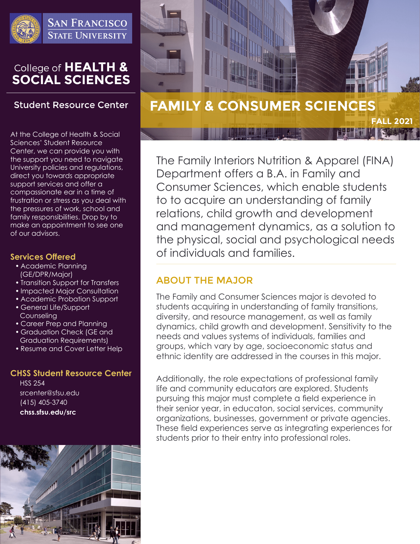

**SAN FRANCISCO STATE UNIVERSITY** 

# College of HEALTH & **SOCIAL SCIENCES**

## **Student Resource Center**

At the College of Health & Social Sciences' Student Resource Center, we can provide you with the support you need to navigate University policies and regulations, direct you towards appropriate support services and offer a compassionate ear in a time of frustration or stress as you deal with the pressures of work, school and family responsibilities. Drop by to make an appointment to see one of our advisors.

### **Services Offered**

- Academic Planning (GE/DPR/Major)
- Transition Support for Transfers
- Impacted Major Consultation
- Academic Probation Support
- General Life/Support Counseling
- Career Prep and Planning
- Graduation Check (GE and Graduation Requirements)
- Resume and Cover Letter Help

### **CHSS Student Resource Center**

HSS 254 srcenter@sfsu.edu (415) 405-3740 **chss.sfsu.edu/src**





The Family Interiors Nutrition & Apparel (FINA) Department offers a B.A. in Family and Consumer Sciences, which enable students to to acquire an understanding of family relations, child growth and development and management dynamics, as a solution to the physical, social and psychological needs of individuals and families.

# ABOUT THE MAJOR

The Family and Consumer Sciences major is devoted to students acquiring in understanding of family transitions, diversity, and resource management, as well as family dynamics, child growth and development. Sensitivity to the needs and values systems of individuals, families and groups, which vary by age, socioeconomic status and ethnic identity are addressed in the courses in this major.

Additionally, the role expectations of professional family life and community educators are explored. Students pursuing this major must complete a field experience in their senior year, in educaton, social services, community organizations, businesses, government or private agencies. These field experiences serve as integrating experiences for students prior to their entry into professional roles.